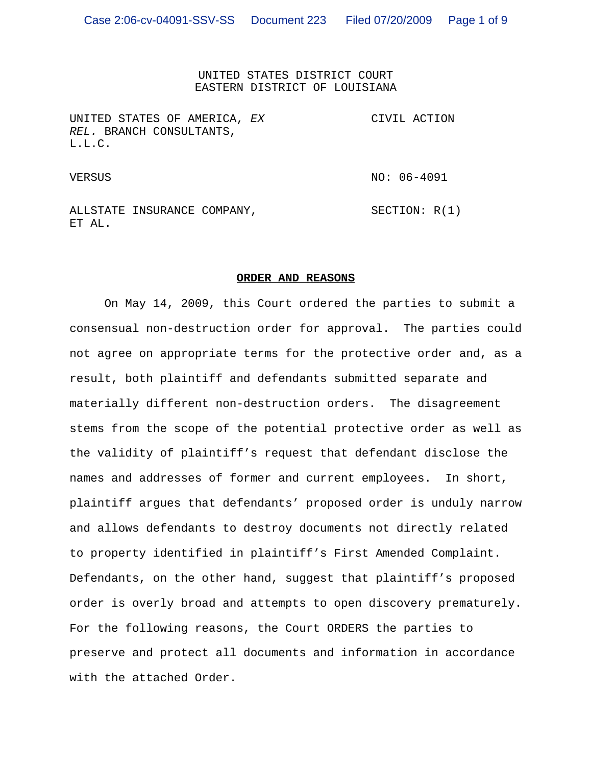UNITED STATES DISTRICT COURT EASTERN DISTRICT OF LOUISIANA

UNITED STATES OF AMERICA, *EX REL.* BRANCH CONSULTANTS, L.L.C. CIVIL ACTION

VERSUS VERSUS NO: 06-4091

ALLSTATE INSURANCE COMPANY, ET AL. SECTION: R(1)

#### **ORDER AND REASONS**

On May 14, 2009, this Court ordered the parties to submit a consensual non-destruction order for approval. The parties could not agree on appropriate terms for the protective order and, as a result, both plaintiff and defendants submitted separate and materially different non-destruction orders. The disagreement stems from the scope of the potential protective order as well as the validity of plaintiff's request that defendant disclose the names and addresses of former and current employees. In short, plaintiff argues that defendants' proposed order is unduly narrow and allows defendants to destroy documents not directly related to property identified in plaintiff's First Amended Complaint. Defendants, on the other hand, suggest that plaintiff's proposed order is overly broad and attempts to open discovery prematurely. For the following reasons, the Court ORDERS the parties to preserve and protect all documents and information in accordance with the attached Order.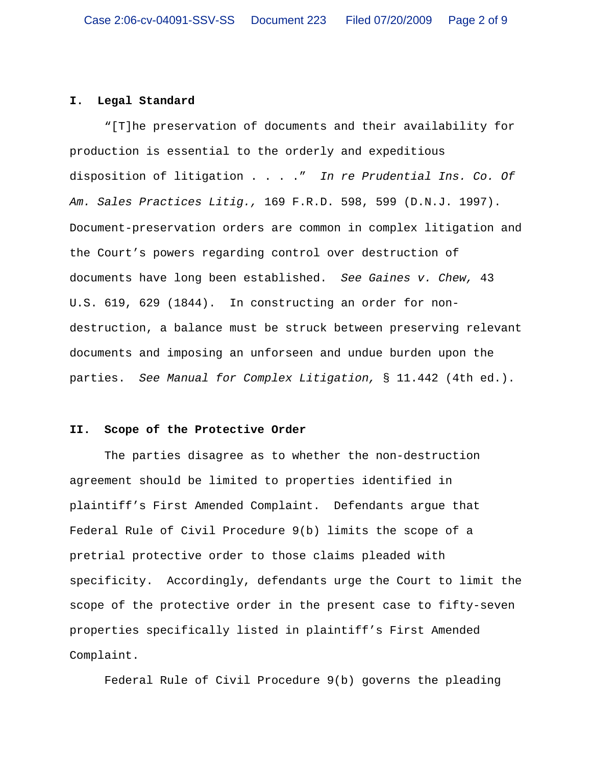# **I. Legal Standard**

"[T]he preservation of documents and their availability for production is essential to the orderly and expeditious disposition of litigation . . . ." *In re Prudential Ins. Co. Of Am. Sales Practices Litig.,* 169 F.R.D. 598, 599 (D.N.J. 1997). Document-preservation orders are common in complex litigation and the Court's powers regarding control over destruction of documents have long been established. *See Gaines v. Chew,* 43 U.S. 619, 629 (1844). In constructing an order for nondestruction, a balance must be struck between preserving relevant documents and imposing an unforseen and undue burden upon the parties. *See Manual for Complex Litigation,* § 11.442 (4th ed.).

## **II. Scope of the Protective Order**

The parties disagree as to whether the non-destruction agreement should be limited to properties identified in plaintiff's First Amended Complaint. Defendants argue that Federal Rule of Civil Procedure 9(b) limits the scope of a pretrial protective order to those claims pleaded with specificity. Accordingly, defendants urge the Court to limit the scope of the protective order in the present case to fifty-seven properties specifically listed in plaintiff's First Amended Complaint.

Federal Rule of Civil Procedure 9(b) governs the pleading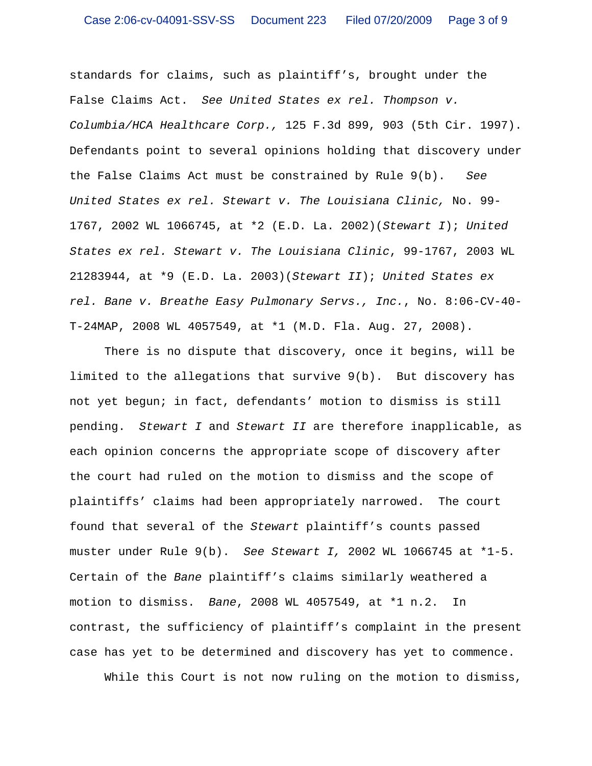standards for claims, such as plaintiff's, brought under the False Claims Act. *See United States ex rel. Thompson v. Columbia/HCA Healthcare Corp.,* 125 F.3d 899, 903 (5th Cir. 1997). Defendants point to several opinions holding that discovery under the False Claims Act must be constrained by Rule 9(b). *See United States ex rel. Stewart v. The Louisiana Clinic,* No. 99- 1767, 2002 WL 1066745, at \*2 (E.D. La. 2002)(*Stewart I*); *United States ex rel. Stewart v. The Louisiana Clinic*, 99-1767, 2003 WL 21283944, at \*9 (E.D. La. 2003)(*Stewart II*); *United States ex rel. Bane v. Breathe Easy Pulmonary Servs., Inc.*, No. 8:06-CV-40- T-24MAP, 2008 WL 4057549, at \*1 (M.D. Fla. Aug. 27, 2008).

There is no dispute that discovery, once it begins, will be limited to the allegations that survive 9(b). But discovery has not yet begun; in fact, defendants' motion to dismiss is still pending. *Stewart I* and *Stewart II* are therefore inapplicable, as each opinion concerns the appropriate scope of discovery after the court had ruled on the motion to dismiss and the scope of plaintiffs' claims had been appropriately narrowed. The court found that several of the *Stewart* plaintiff's counts passed muster under Rule 9(b). *See Stewart I,* 2002 WL 1066745 at \*1-5. Certain of the *Bane* plaintiff's claims similarly weathered a motion to dismiss. *Bane*, 2008 WL 4057549, at \*1 n.2. In contrast, the sufficiency of plaintiff's complaint in the present case has yet to be determined and discovery has yet to commence.

While this Court is not now ruling on the motion to dismiss,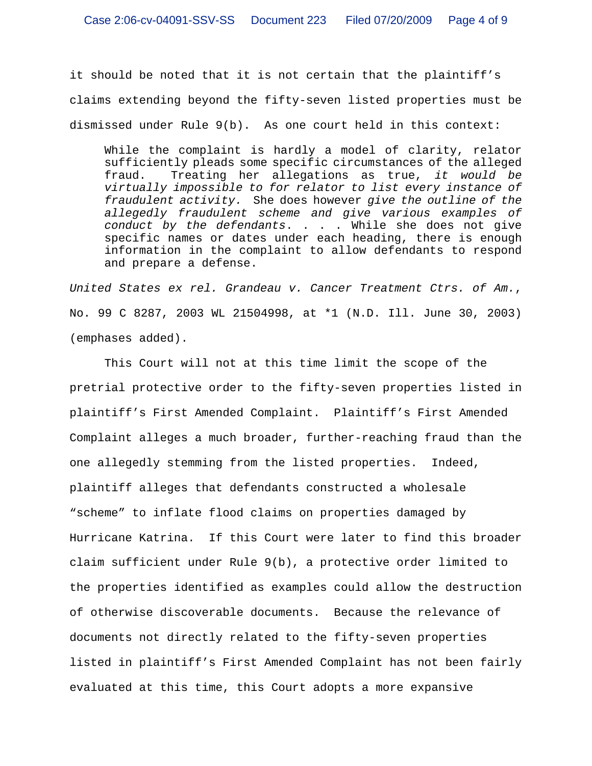it should be noted that it is not certain that the plaintiff's claims extending beyond the fifty-seven listed properties must be dismissed under Rule 9(b). As one court held in this context:

While the complaint is hardly a model of clarity, relator sufficiently pleads some specific circumstances of the alleged fraud. Treating her allegations as true, *it would be virtually impossible to for relator to list every instance of fraudulent activity.* She does however *give the outline of the allegedly fraudulent scheme and give various examples of conduct by the defendants*. . . . While she does not give specific names or dates under each heading, there is enough information in the complaint to allow defendants to respond and prepare a defense.

*United States ex rel. Grandeau v. Cancer Treatment Ctrs. of Am.*, No. 99 C 8287, 2003 WL 21504998, at \*1 (N.D. Ill. June 30, 2003) (emphases added).

This Court will not at this time limit the scope of the pretrial protective order to the fifty-seven properties listed in plaintiff's First Amended Complaint. Plaintiff's First Amended Complaint alleges a much broader, further-reaching fraud than the one allegedly stemming from the listed properties. Indeed, plaintiff alleges that defendants constructed a wholesale "scheme" to inflate flood claims on properties damaged by Hurricane Katrina. If this Court were later to find this broader claim sufficient under Rule 9(b), a protective order limited to the properties identified as examples could allow the destruction of otherwise discoverable documents. Because the relevance of documents not directly related to the fifty-seven properties listed in plaintiff's First Amended Complaint has not been fairly evaluated at this time, this Court adopts a more expansive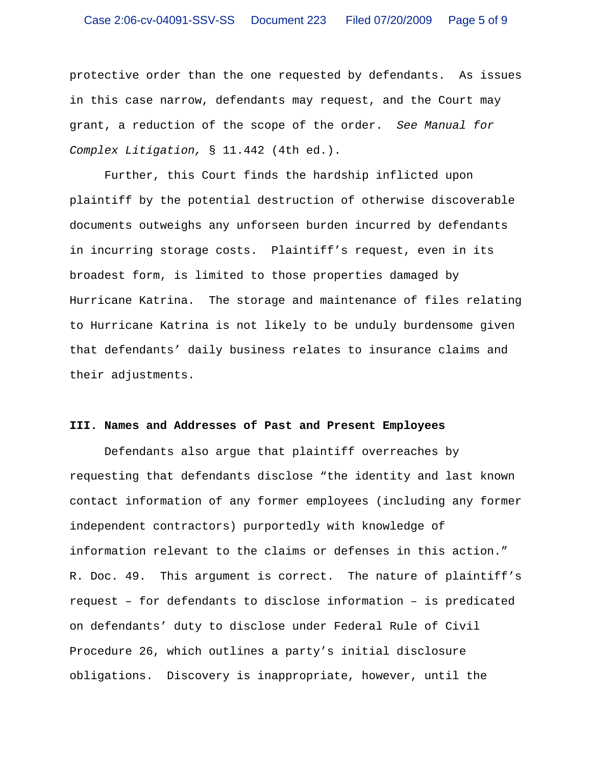protective order than the one requested by defendants. As issues in this case narrow, defendants may request, and the Court may grant, a reduction of the scope of the order. *See Manual for Complex Litigation,* § 11.442 (4th ed.).

Further, this Court finds the hardship inflicted upon plaintiff by the potential destruction of otherwise discoverable documents outweighs any unforseen burden incurred by defendants in incurring storage costs. Plaintiff's request, even in its broadest form, is limited to those properties damaged by Hurricane Katrina. The storage and maintenance of files relating to Hurricane Katrina is not likely to be unduly burdensome given that defendants' daily business relates to insurance claims and their adjustments.

### **III. Names and Addresses of Past and Present Employees**

Defendants also argue that plaintiff overreaches by requesting that defendants disclose "the identity and last known contact information of any former employees (including any former independent contractors) purportedly with knowledge of information relevant to the claims or defenses in this action." R. Doc. 49. This argument is correct. The nature of plaintiff's request – for defendants to disclose information – is predicated on defendants' duty to disclose under Federal Rule of Civil Procedure 26, which outlines a party's initial disclosure obligations. Discovery is inappropriate, however, until the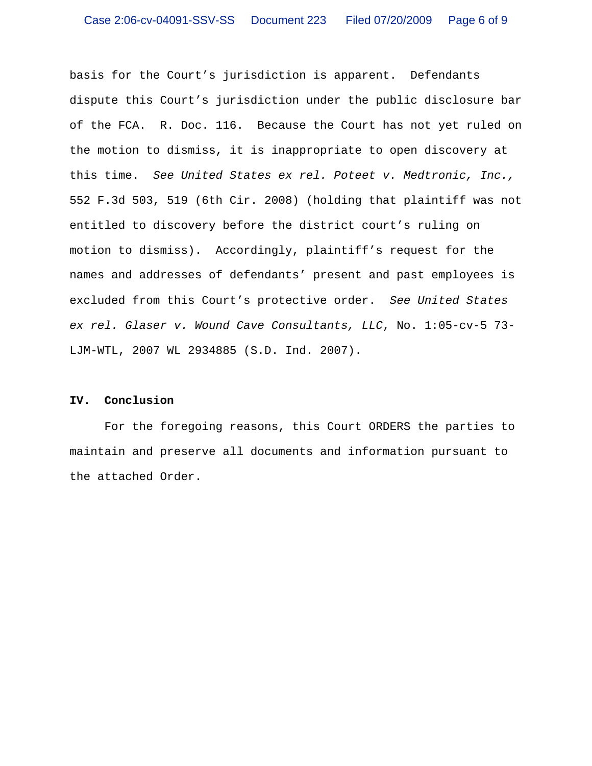basis for the Court's jurisdiction is apparent. Defendants dispute this Court's jurisdiction under the public disclosure bar of the FCA. R. Doc. 116. Because the Court has not yet ruled on the motion to dismiss, it is inappropriate to open discovery at this time. *See United States ex rel. Poteet v. Medtronic, Inc.,* 552 F.3d 503, 519 (6th Cir. 2008) (holding that plaintiff was not entitled to discovery before the district court's ruling on motion to dismiss). Accordingly, plaintiff's request for the names and addresses of defendants' present and past employees is excluded from this Court's protective order. *See United States ex rel. Glaser v. Wound Cave Consultants, LLC*, No. 1:05-cv-5 73- LJM-WTL, 2007 WL 2934885 (S.D. Ind. 2007).

#### **IV. Conclusion**

For the foregoing reasons, this Court ORDERS the parties to maintain and preserve all documents and information pursuant to the attached Order.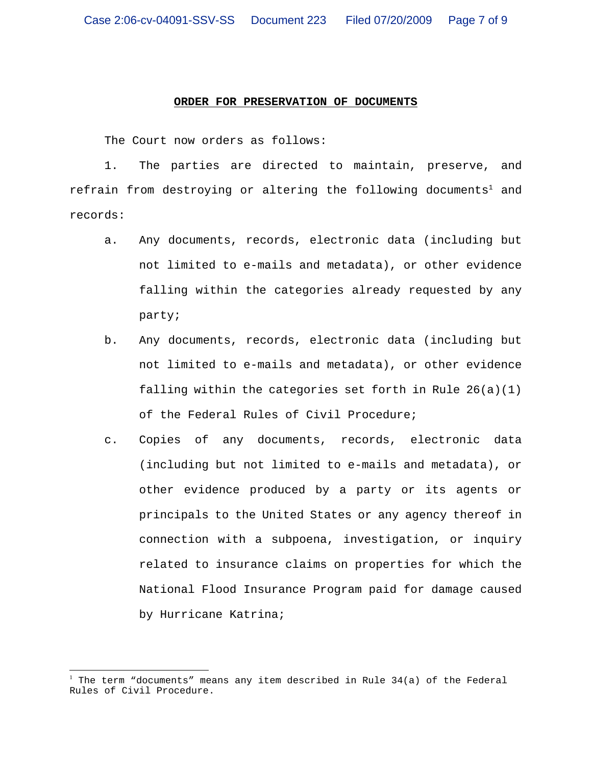#### **ORDER FOR PRESERVATION OF DOCUMENTS**

The Court now orders as follows:

1. The parties are directed to maintain, preserve, and refrain from destroying or altering the following documents<sup>1</sup> and records:

- a. Any documents, records, electronic data (including but not limited to e-mails and metadata), or other evidence falling within the categories already requested by any party;
- b. Any documents, records, electronic data (including but not limited to e-mails and metadata), or other evidence falling within the categories set forth in Rule 26(a)(1) of the Federal Rules of Civil Procedure;
- c. Copies of any documents, records, electronic data (including but not limited to e-mails and metadata), or other evidence produced by a party or its agents or principals to the United States or any agency thereof in connection with a subpoena, investigation, or inquiry related to insurance claims on properties for which the National Flood Insurance Program paid for damage caused by Hurricane Katrina;

<sup>1</sup> The term "documents" means any item described in Rule 34(a) of the Federal Rules of Civil Procedure.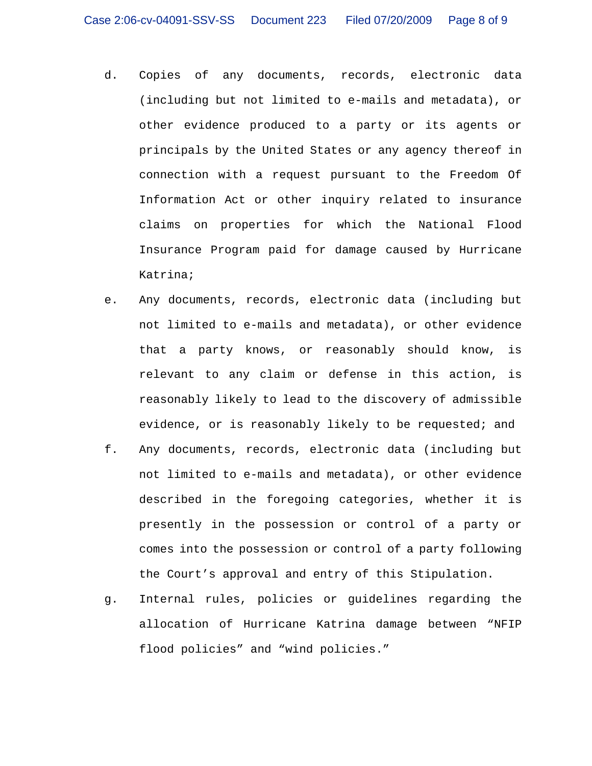- d. Copies of any documents, records, electronic data (including but not limited to e-mails and metadata), or other evidence produced to a party or its agents or principals by the United States or any agency thereof in connection with a request pursuant to the Freedom Of Information Act or other inquiry related to insurance claims on properties for which the National Flood Insurance Program paid for damage caused by Hurricane Katrina;
- e. Any documents, records, electronic data (including but not limited to e-mails and metadata), or other evidence that a party knows, or reasonably should know, is relevant to any claim or defense in this action, is reasonably likely to lead to the discovery of admissible evidence, or is reasonably likely to be requested; and
- f. Any documents, records, electronic data (including but not limited to e-mails and metadata), or other evidence described in the foregoing categories, whether it is presently in the possession or control of a party or comes into the possession or control of a party following the Court's approval and entry of this Stipulation.
- g. Internal rules, policies or guidelines regarding the allocation of Hurricane Katrina damage between "NFIP flood policies" and "wind policies."